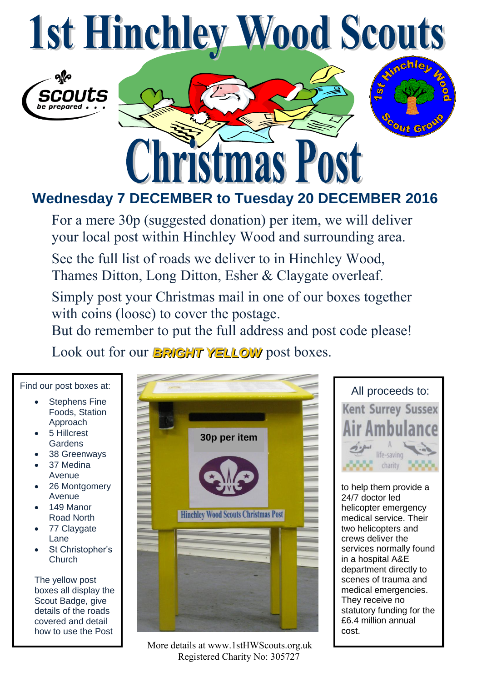## **1st Hinchley Wood Scouts**





## **Wednesday 7 DECEMBER to Tuesday 20 DECEMBER 2016**

For a mere 30p (suggested donation) per item, we will deliver your local post within Hinchley Wood and surrounding area.

See the full list of roads we deliver to in Hinchley Wood, Thames Ditton, Long Ditton, Esher & Claygate overleaf.

Simply post your Christmas mail in one of our boxes together with coins (loose) to cover the postage.

But do remember to put the full address and post code please!

Look out for our *BRIGHT YELLOW* post boxes.

Find our post boxes at:

- Stephens Fine Foods, Station Approach
- 5 Hillcrest **Gardens**
- 38 Greenways
- 37 Medina Avenue
- 26 Montgomery Avenue
- 149 Manor Road North
- 77 Claygate Lane
- St Christopher's **Church**

The yellow post boxes all display the Scout Badge, give details of the roads covered and detail how to use the Post





to help them provide a 24/7 doctor led helicopter emergency medical service. Their two helicopters and crews deliver the services normally found in a hospital A&E department directly to scenes of trauma and medical emergencies. They receive no statutory funding for the £6.4 million annual cost.

 More details at www.1stHWScouts.org.uk Registered Charity No: 305727